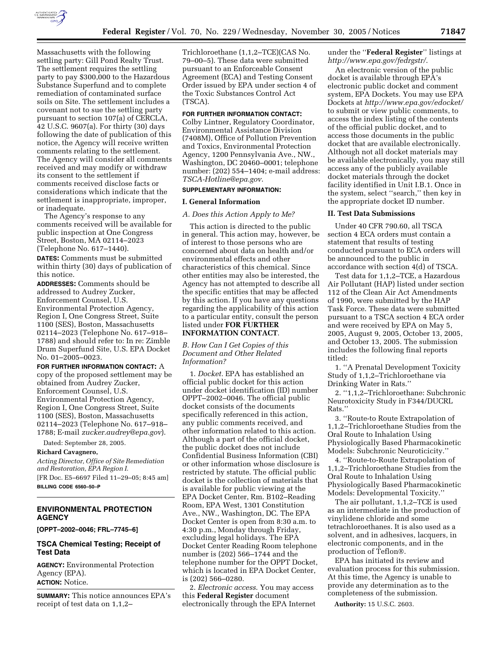

Massachusetts with the following settling party: Gill Pond Realty Trust. The settlement requires the settling party to pay \$300,000 to the Hazardous Substance Superfund and to complete remediation of contaminated surface soils on Site. The settlement includes a covenant not to sue the settling party pursuant to section 107(a) of CERCLA, 42 U.S.C. 9607(a). For thirty (30) days following the date of publication of this notice, the Agency will receive written comments relating to the settlement. The Agency will consider all comments received and may modify or withdraw its consent to the settlement if comments received disclose facts or considerations which indicate that the settlement is inappropriate, improper, or inadequate.

The Agency's response to any comments received will be available for public inspection at One Congress Street, Boston, MA 02114–2023 (Telephone No. 617–1440).

**DATES:** Comments must be submitted within thirty (30) days of publication of this notice.

**ADDRESSES:** Comments should be addressed to Audrey Zucker, Enforcement Counsel, U.S. Environmental Protection Agency, Region I, One Congress Street, Suite 1100 (SES), Boston, Massachusetts 02114–2023 (Telephone No. 617–918– 1788) and should refer to: In re: Zimble Drum Superfund Site, U.S. EPA Docket No. 01–2005–0023.

**FOR FURTHER INFORMATION CONTACT:** A copy of the proposed settlement may be obtained from Audrey Zucker, Enforcement Counsel, U.S. Environmental Protection Agency, Region I, One Congress Street, Suite 1100 (SES), Boston, Massachusetts 02114–2023 (Telephone No. 617–918– 1788; E-mail *zucker.audrey@epa.gov*).

Dated: September 28, 2005.

#### **Richard Cavagnero,**

*Acting Director, Office of Site Remediation and Restoration, EPA Region I.*  [FR Doc. E5–6697 Filed 11–29–05; 8:45 am]

**BILLING CODE 6560–50–P** 

# **ENVIRONMENTAL PROTECTION AGENCY**

**[OPPT–2002–0046; FRL–7745–6]** 

### **TSCA Chemical Testing; Receipt of Test Data**

**AGENCY:** Environmental Protection Agency (EPA). **ACTION:** Notice.

**SUMMARY:** This notice announces EPA's receipt of test data on 1,1,2–

Trichloroethane (1,1,2–TCE)(CAS No. 79–00–5). These data were submitted pursuant to an Enforceable Consent Agreement (ECA) and Testing Consent Order issued by EPA under section 4 of the Toxic Substances Control Act (TSCA).

# **FOR FURTHER INFORMATION CONTACT:**

Colby Lintner, Regulatory Coordinator, Environmental Assistance Division (7408M), Office of Pollution Prevention and Toxics, Environmental Protection Agency, 1200 Pennsylvania Ave., NW., Washington, DC 20460–0001; telephone number: (202) 554–1404; e-mail address: *TSCA-Hotline@epa.gov*.

## **SUPPLEMENTARY INFORMATION:**

## **I. General Information**

#### *A. Does this Action Apply to Me?*

This action is directed to the public in general. This action may, however, be of interest to those persons who are concerned about data on health and/or environmental effects and other characteristics of this chemical. Since other entities may also be interested, the Agency has not attempted to describe all the specific entities that may be affected by this action. If you have any questions regarding the applicability of this action to a particular entity, consult the person listed under **FOR FURTHER INFORMATION CONTACT**.

*B. How Can I Get Copies of this Document and Other Related Information?* 

1. *Docket.* EPA has established an official public docket for this action under docket identification (ID) number OPPT–2002–0046. The official public docket consists of the documents specifically referenced in this action, any public comments received, and other information related to this action. Although a part of the official docket, the public docket does not include Confidential Business Information (CBI) or other information whose disclosure is restricted by statute. The official public docket is the collection of materials that is available for public viewing at the EPA Docket Center, Rm. B102–Reading Room, EPA West, 1301 Constitution Ave., NW., Washington, DC. The EPA Docket Center is open from 8:30 a.m. to 4:30 p.m., Monday through Friday, excluding legal holidays. The EPA Docket Center Reading Room telephone number is (202) 566–1744 and the telephone number for the OPPT Docket, which is located in EPA Docket Center, is (202) 566–0280.

2. *Electronic access*. You may access this **Federal Register** document electronically through the EPA Internet under the ''**Federal Register**'' listings at *http://www.epa.gov/fedrgstr/*.

An electronic version of the public docket is available through EPA's electronic public docket and comment system, EPA Dockets. You may use EPA Dockets at *http://www.epa.gov/edocket/*  to submit or view public comments, to access the index listing of the contents of the official public docket, and to access those documents in the public docket that are available electronically. Although not all docket materials may be available electronically, you may still access any of the publicly available docket materials through the docket facility identified in Unit I.B.1. Once in the system, select ''search,'' then key in the appropriate docket ID number.

#### **II. Test Data Submissions**

Under 40 CFR 790.60, all TSCA section 4 ECA orders must contain a statement that results of testing conducted pursuant to ECA orders will be announced to the public in accordance with section 4(d) of TSCA.

Test data for 1,1,2–TCE, a Hazardous Air Pollutant (HAP) listed under section 112 of the Clean Air Act Amendments of 1990, were submitted by the HAP Task Force. These data were submitted pursuant to a TSCA section 4 ECA order and were received by EPA on May 5, 2005, August 9, 2005, October 13, 2005, and October 13, 2005. The submission includes the following final reports titled:

1. ''A Prenatal Development Toxicity Study of 1,1,2–Trichloroethane via Drinking Water in Rats.''

2. ''1,1,2–Trichloroethane: Subchronic Neurotoxicity Study in F344/DUCRL Rats.''

3. ''Route-to Route Extrapolation of 1,1,2–Trichloroethane Studies from the Oral Route to Inhalation Using Physiologically Based Pharmacokinetic Models: Subchronic Neuroticicity.''

4. ''Route-to-Route Extrapolation of 1,1,2–Trichloroethane Studies from the Oral Route to Inhalation Using Physiologically Based Pharmacokinetic Models: Developmental Toxicity.''

The air pollutant, 1,1,2–TCE is used as an intermediate in the production of vinylidene chloride and some tetrachloroethanes. It is also used as a solvent, and in adhesives, lacquers, in electronic components, and in the production of Teflon<sup>®</sup>.

EPA has initiated its review and evaluation process for this submission. At this time, the Agency is unable to provide any determination as to the completeness of the submission.

**Authority:** 15 U.S.C. 2603.